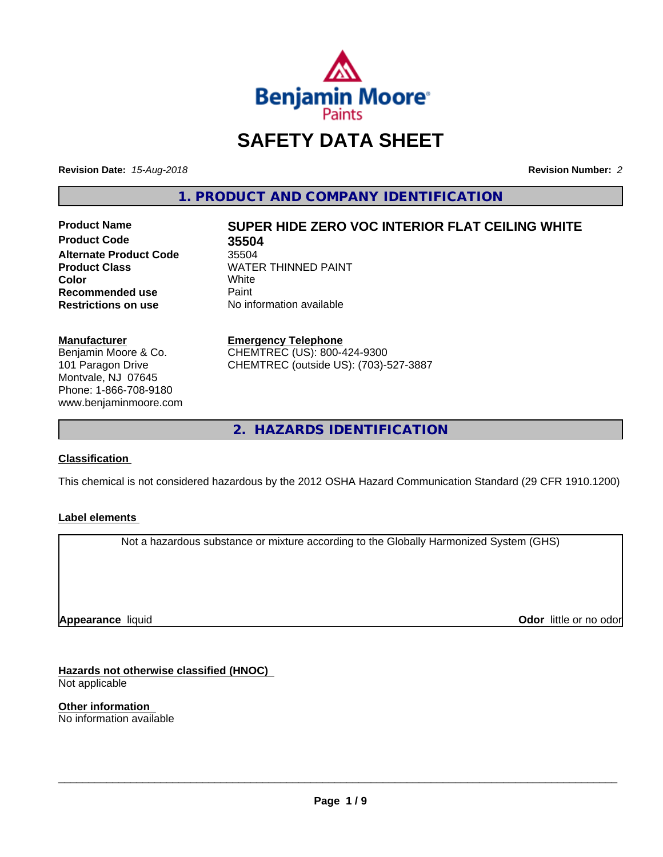

## **SAFETY DATA SHEET**

**Revision Date:** *15-Aug-2018* **Revision Number:** *2*

**1. PRODUCT AND COMPANY IDENTIFICATION**

**Product Code 35504 Alternate Product Code** 35504<br>**Product Class** WATE **Recommended use** Paint<br> **Restrictions on use** No inf

# **Product Name SUPER HIDE ZERO VOC INTERIOR FLAT CEILING WHITE**

**WATER THINNED PAINT**<br>White **Color** White White **No information available** 

**Manufacturer** Benjamin Moore & Co.

101 Paragon Drive Montvale, NJ 07645 Phone: 1-866-708-9180 www.benjaminmoore.com **Emergency Telephone**

CHEMTREC (US): 800-424-9300 CHEMTREC (outside US): (703)-527-3887

**2. HAZARDS IDENTIFICATION**

#### **Classification**

This chemical is not considered hazardous by the 2012 OSHA Hazard Communication Standard (29 CFR 1910.1200)

#### **Label elements**

Not a hazardous substance or mixture according to the Globally Harmonized System (GHS)

**Appearance** liquid

**Odor** little or no odor

**Hazards not otherwise classified (HNOC)** Not applicable

**Other information** No information available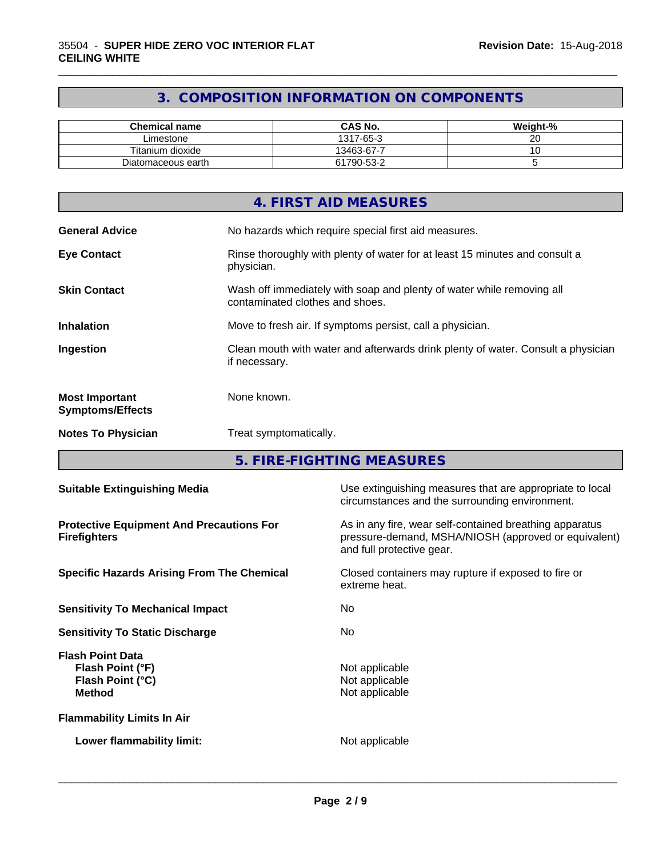### **3. COMPOSITION INFORMATION ON COMPONENTS**

\_\_\_\_\_\_\_\_\_\_\_\_\_\_\_\_\_\_\_\_\_\_\_\_\_\_\_\_\_\_\_\_\_\_\_\_\_\_\_\_\_\_\_\_\_\_\_\_\_\_\_\_\_\_\_\_\_\_\_\_\_\_\_\_\_\_\_\_\_\_\_\_\_\_\_\_\_\_\_\_\_\_\_\_\_\_\_\_\_\_\_\_\_

| <b>Chemical name</b> | <b>CAS No.</b> | Weight-% |
|----------------------|----------------|----------|
| Limestone            | 1317-65-3      | ~~<br>20 |
| Titanium dioxide     | 13463-67-7     | ~        |
| Diatomaceous earth   | 61790-53-2     |          |

|                                                  | 4. FIRST AID MEASURES                                                                                    |
|--------------------------------------------------|----------------------------------------------------------------------------------------------------------|
| <b>General Advice</b>                            | No hazards which require special first aid measures.                                                     |
| <b>Eye Contact</b>                               | Rinse thoroughly with plenty of water for at least 15 minutes and consult a<br>physician.                |
| <b>Skin Contact</b>                              | Wash off immediately with soap and plenty of water while removing all<br>contaminated clothes and shoes. |
| <b>Inhalation</b>                                | Move to fresh air. If symptoms persist, call a physician.                                                |
| Ingestion                                        | Clean mouth with water and afterwards drink plenty of water. Consult a physician<br>if necessary.        |
| <b>Most Important</b><br><b>Symptoms/Effects</b> | None known.                                                                                              |
| <b>Notes To Physician</b>                        | Treat symptomatically.                                                                                   |

**5. FIRE-FIGHTING MEASURES**

| <b>Suitable Extinguishing Media</b>                                              | Use extinguishing measures that are appropriate to local<br>circumstances and the surrounding environment.                                   |
|----------------------------------------------------------------------------------|----------------------------------------------------------------------------------------------------------------------------------------------|
| <b>Protective Equipment And Precautions For</b><br><b>Firefighters</b>           | As in any fire, wear self-contained breathing apparatus<br>pressure-demand, MSHA/NIOSH (approved or equivalent)<br>and full protective gear. |
| <b>Specific Hazards Arising From The Chemical</b>                                | Closed containers may rupture if exposed to fire or<br>extreme heat.                                                                         |
| <b>Sensitivity To Mechanical Impact</b>                                          | No.                                                                                                                                          |
| <b>Sensitivity To Static Discharge</b>                                           | No.                                                                                                                                          |
| <b>Flash Point Data</b><br>Flash Point (°F)<br>Flash Point (°C)<br><b>Method</b> | Not applicable<br>Not applicable<br>Not applicable                                                                                           |
| <b>Flammability Limits In Air</b>                                                |                                                                                                                                              |
| Lower flammability limit:                                                        | Not applicable                                                                                                                               |
|                                                                                  |                                                                                                                                              |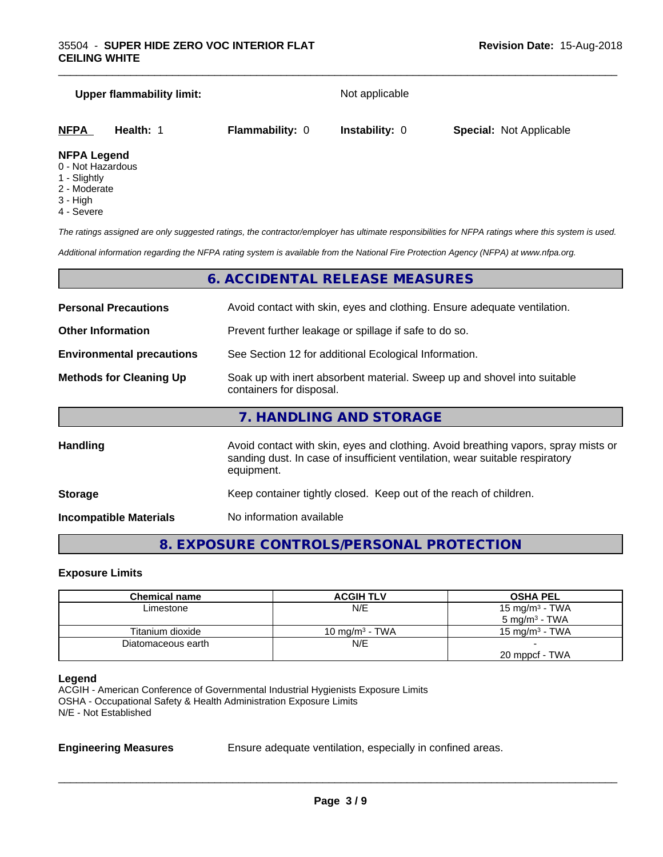#### **Upper flammability limit:** Not applicable

\_\_\_\_\_\_\_\_\_\_\_\_\_\_\_\_\_\_\_\_\_\_\_\_\_\_\_\_\_\_\_\_\_\_\_\_\_\_\_\_\_\_\_\_\_\_\_\_\_\_\_\_\_\_\_\_\_\_\_\_\_\_\_\_\_\_\_\_\_\_\_\_\_\_\_\_\_\_\_\_\_\_\_\_\_\_\_\_\_\_\_\_\_

| <b>NFPA</b>         | Health: | <b>Flammability: 0</b> | <b>Instability: 0</b> | <b>Special: Not Applicable</b> |
|---------------------|---------|------------------------|-----------------------|--------------------------------|
| <b>NIEDA LANAMA</b> |         |                        |                       |                                |

#### **NFPA Legend**

- 0 Not Hazardous
- 1 Slightly
- 2 Moderate
- 3 High
- 4 Severe

*The ratings assigned are only suggested ratings, the contractor/employer has ultimate responsibilities for NFPA ratings where this system is used.*

*Additional information regarding the NFPA rating system is available from the National Fire Protection Agency (NFPA) at www.nfpa.org.*

#### **6. ACCIDENTAL RELEASE MEASURES**

| <b>Personal Precautions</b><br>Avoid contact with skin, eyes and clothing. Ensure adequate ventilation.                                |                                                                                                                                                                                  |  |
|----------------------------------------------------------------------------------------------------------------------------------------|----------------------------------------------------------------------------------------------------------------------------------------------------------------------------------|--|
| <b>Other Information</b>                                                                                                               | Prevent further leakage or spillage if safe to do so.                                                                                                                            |  |
| <b>Environmental precautions</b>                                                                                                       | See Section 12 for additional Ecological Information.                                                                                                                            |  |
| Soak up with inert absorbent material. Sweep up and shovel into suitable<br><b>Methods for Cleaning Up</b><br>containers for disposal. |                                                                                                                                                                                  |  |
|                                                                                                                                        | 7. HANDLING AND STORAGE                                                                                                                                                          |  |
| <b>Handling</b>                                                                                                                        | Avoid contact with skin, eyes and clothing. Avoid breathing vapors, spray mists or<br>sanding dust. In case of insufficient ventilation, wear suitable respiratory<br>equipment. |  |
| <b>Storage</b>                                                                                                                         | Keep container tightly closed. Keep out of the reach of children.                                                                                                                |  |

**Incompatible Materials** No information available

## **8. EXPOSURE CONTROLS/PERSONAL PROTECTION**

#### **Exposure Limits**

| Chemical name      | <b>ACGIH TLV</b>  | <b>OSHA PEL</b>          |
|--------------------|-------------------|--------------------------|
| Limestone          | N/E               | 15 mg/m $3$ - TWA        |
|                    |                   | $5 \text{ mg/m}^3$ - TWA |
| Titanium dioxide   | 10 mg/m $3$ - TWA | 15 mg/m $3$ - TWA        |
| Diatomaceous earth | N/E               |                          |
|                    |                   | 20 mppcf - TWA           |

#### **Legend**

ACGIH - American Conference of Governmental Industrial Hygienists Exposure Limits OSHA - Occupational Safety & Health Administration Exposure Limits N/E - Not Established

**Engineering Measures** Ensure adequate ventilation, especially in confined areas.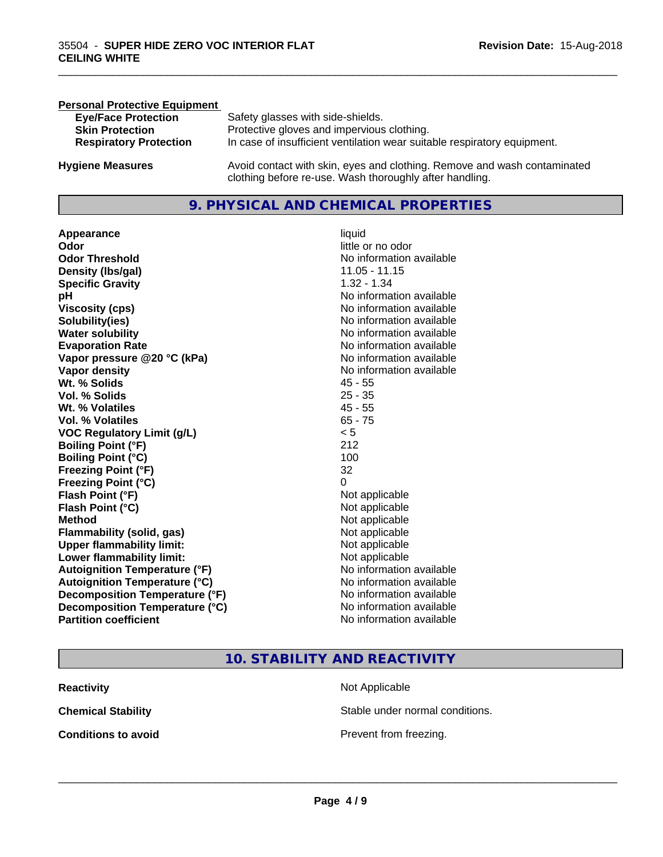| <b>Personal Protective Equipment</b> |                                                                                                                                     |
|--------------------------------------|-------------------------------------------------------------------------------------------------------------------------------------|
| <b>Eye/Face Protection</b>           | Safety glasses with side-shields.                                                                                                   |
| <b>Skin Protection</b>               | Protective gloves and impervious clothing.                                                                                          |
| <b>Respiratory Protection</b>        | In case of insufficient ventilation wear suitable respiratory equipment.                                                            |
| <b>Hygiene Measures</b>              | Avoid contact with skin, eyes and clothing. Remove and wash contaminated<br>clothing before re-use. Wash thoroughly after handling. |

#### **9. PHYSICAL AND CHEMICAL PROPERTIES**

**Appearance** liquid **Odor** little or no odor **Odor Threshold** No information available **Density (lbs/gal)** 11.05 - 11.15 **Specific Gravity** 1.32 - 1.34 **pH pH**  $\blacksquare$ **Viscosity (cps)** No information available<br> **Solubility(ies)** No information available<br>
No information available **Solubility(ies)**<br> **No** information available<br> **Water solubility**<br> **Water solubility Evaporation Rate No information available No information available Vapor pressure @20 °C (kPa)** No information available **Vapor density**<br> **Vapor density**<br> **With % Solids**<br>
With % Solids
2018 Wt. % Solids **Vol. % Solids** 25 - 35 **Wt. % Volatiles** 45 - 55 **Vol. % Volatiles** 65 - 75 **VOC Regulatory Limit (g/L)** < 5 **Boiling Point (°F)** 212 **Boiling Point (°C)** 100 **Freezing Point (°F)** 32 **Freezing Point (°C)** 0 **Flash Point (°F)**<br> **Flash Point (°C)**<br> **Flash Point (°C)**<br> **C Flash Point (°C) Method** Not applicable not applicable not applicable not applicable not applicable not applicable not applicable not applicable not applicable not applicable not applicable not applicable not applicable not applicable not **Flammability (solid, gas)**<br> **Upper flammability limit:**<br>
Upper flammability limit:<br>  $\begin{array}{ccc}\n\bullet & \bullet & \bullet \\
\bullet & \bullet & \bullet\n\end{array}$ **Upper flammability limit: Lower flammability limit:** Not applicable **Autoignition Temperature (°F)** No information available **Autoignition Temperature (°C)** No information available **Decomposition Temperature (°F)** No information available **Decomposition Temperature (°C)**<br> **Partition coefficient**<br> **Partition coefficient**<br> **No** information available

**No information available No information available** 

\_\_\_\_\_\_\_\_\_\_\_\_\_\_\_\_\_\_\_\_\_\_\_\_\_\_\_\_\_\_\_\_\_\_\_\_\_\_\_\_\_\_\_\_\_\_\_\_\_\_\_\_\_\_\_\_\_\_\_\_\_\_\_\_\_\_\_\_\_\_\_\_\_\_\_\_\_\_\_\_\_\_\_\_\_\_\_\_\_\_\_\_\_

#### **10. STABILITY AND REACTIVITY**

| <b>Reactivity</b>          |  |
|----------------------------|--|
| <b>Chemical Stability</b>  |  |
| <b>Conditions to avoid</b> |  |

**Not Applicable** Stable under normal conditions.

**Prevent from freezing.**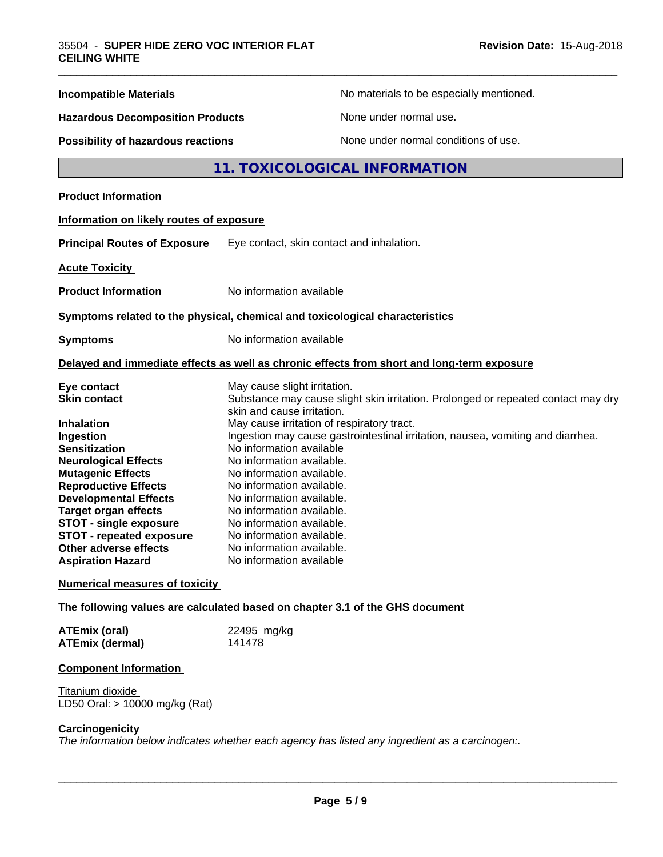| <b>Incompatible Materials</b>                                                                                                                                                                                                                                                                                                                                                            |                                                                                                                                                                                                                                                                                                                                                                                                                               | No materials to be especially mentioned.                                                   |  |
|------------------------------------------------------------------------------------------------------------------------------------------------------------------------------------------------------------------------------------------------------------------------------------------------------------------------------------------------------------------------------------------|-------------------------------------------------------------------------------------------------------------------------------------------------------------------------------------------------------------------------------------------------------------------------------------------------------------------------------------------------------------------------------------------------------------------------------|--------------------------------------------------------------------------------------------|--|
| <b>Hazardous Decomposition Products</b>                                                                                                                                                                                                                                                                                                                                                  |                                                                                                                                                                                                                                                                                                                                                                                                                               | None under normal use.                                                                     |  |
| <b>Possibility of hazardous reactions</b>                                                                                                                                                                                                                                                                                                                                                |                                                                                                                                                                                                                                                                                                                                                                                                                               | None under normal conditions of use.                                                       |  |
|                                                                                                                                                                                                                                                                                                                                                                                          |                                                                                                                                                                                                                                                                                                                                                                                                                               | 11. TOXICOLOGICAL INFORMATION                                                              |  |
| <b>Product Information</b>                                                                                                                                                                                                                                                                                                                                                               |                                                                                                                                                                                                                                                                                                                                                                                                                               |                                                                                            |  |
| Information on likely routes of exposure                                                                                                                                                                                                                                                                                                                                                 |                                                                                                                                                                                                                                                                                                                                                                                                                               |                                                                                            |  |
| <b>Principal Routes of Exposure</b>                                                                                                                                                                                                                                                                                                                                                      | Eye contact, skin contact and inhalation.                                                                                                                                                                                                                                                                                                                                                                                     |                                                                                            |  |
| <b>Acute Toxicity</b>                                                                                                                                                                                                                                                                                                                                                                    |                                                                                                                                                                                                                                                                                                                                                                                                                               |                                                                                            |  |
| <b>Product Information</b>                                                                                                                                                                                                                                                                                                                                                               | No information available                                                                                                                                                                                                                                                                                                                                                                                                      |                                                                                            |  |
| Symptoms related to the physical, chemical and toxicological characteristics                                                                                                                                                                                                                                                                                                             |                                                                                                                                                                                                                                                                                                                                                                                                                               |                                                                                            |  |
| <b>Symptoms</b>                                                                                                                                                                                                                                                                                                                                                                          | No information available                                                                                                                                                                                                                                                                                                                                                                                                      |                                                                                            |  |
|                                                                                                                                                                                                                                                                                                                                                                                          |                                                                                                                                                                                                                                                                                                                                                                                                                               | Delayed and immediate effects as well as chronic effects from short and long-term exposure |  |
| Eye contact                                                                                                                                                                                                                                                                                                                                                                              | May cause slight irritation.                                                                                                                                                                                                                                                                                                                                                                                                  |                                                                                            |  |
| <b>Skin contact</b>                                                                                                                                                                                                                                                                                                                                                                      | skin and cause irritation.                                                                                                                                                                                                                                                                                                                                                                                                    | Substance may cause slight skin irritation. Prolonged or repeated contact may dry          |  |
| <b>Inhalation</b><br>Ingestion<br><b>Sensitization</b><br><b>Neurological Effects</b><br><b>Mutagenic Effects</b><br><b>Reproductive Effects</b><br><b>Developmental Effects</b><br><b>Target organ effects</b><br><b>STOT - single exposure</b><br><b>STOT - repeated exposure</b><br><b>Other adverse effects</b><br><b>Aspiration Hazard</b><br><b>Numerical measures of toxicity</b> | May cause irritation of respiratory tract.<br>Ingestion may cause gastrointestinal irritation, nausea, vomiting and diarrhea.<br>No information available<br>No information available.<br>No information available.<br>No information available.<br>No information available.<br>No information available.<br>No information available.<br>No information available.<br>No information available.<br>No information available |                                                                                            |  |
|                                                                                                                                                                                                                                                                                                                                                                                          |                                                                                                                                                                                                                                                                                                                                                                                                                               |                                                                                            |  |
| The following values are calculated based on chapter 3.1 of the GHS document                                                                                                                                                                                                                                                                                                             |                                                                                                                                                                                                                                                                                                                                                                                                                               |                                                                                            |  |
| <b>ATEmix (oral)</b><br><b>ATEmix (dermal)</b>                                                                                                                                                                                                                                                                                                                                           | 22495 mg/kg<br>141478                                                                                                                                                                                                                                                                                                                                                                                                         |                                                                                            |  |
|                                                                                                                                                                                                                                                                                                                                                                                          |                                                                                                                                                                                                                                                                                                                                                                                                                               |                                                                                            |  |

#### **Component Information**

**Titanium dioxide** LD50 Oral: > 10000 mg/kg (Rat)

#### **Carcinogenicity**

*The information below indicateswhether each agency has listed any ingredient as a carcinogen:.*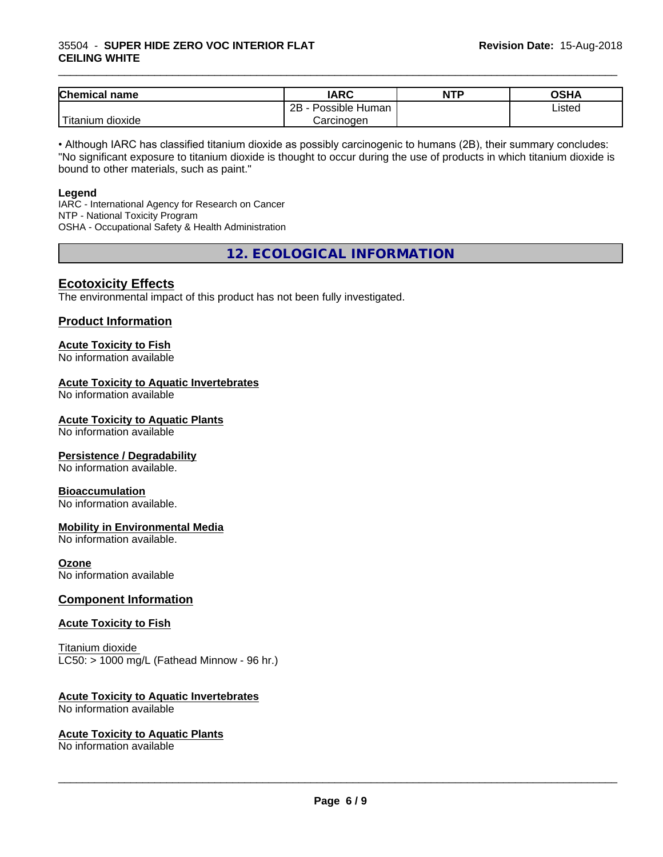#### 35504 - **SUPER HIDE ZERO VOC INTERIOR FLAT CEILING WHITE**

| <b>Chemical</b><br>name                | <b>IARC</b>                 | <b>NTP</b> | OSHA   |
|----------------------------------------|-----------------------------|------------|--------|
|                                        | . .<br>2B<br>Possible Human |            | Listed |
| . . <del>. .</del><br>Fitanium dioxide | Carcinoɑen                  |            |        |

\_\_\_\_\_\_\_\_\_\_\_\_\_\_\_\_\_\_\_\_\_\_\_\_\_\_\_\_\_\_\_\_\_\_\_\_\_\_\_\_\_\_\_\_\_\_\_\_\_\_\_\_\_\_\_\_\_\_\_\_\_\_\_\_\_\_\_\_\_\_\_\_\_\_\_\_\_\_\_\_\_\_\_\_\_\_\_\_\_\_\_\_\_

• Although IARC has classified titanium dioxide as possibly carcinogenic to humans (2B), their summary concludes: "No significant exposure to titanium dioxide is thought to occur during the use of products in which titanium dioxide is bound to other materials, such as paint."

#### **Legend**

IARC - International Agency for Research on Cancer NTP - National Toxicity Program OSHA - Occupational Safety & Health Administration

**12. ECOLOGICAL INFORMATION**

#### **Ecotoxicity Effects**

The environmental impact of this product has not been fully investigated.

#### **Product Information**

## **Acute Toxicity to Fish**

No information available

#### **Acute Toxicity to Aquatic Invertebrates**

No information available

#### **Acute Toxicity to Aquatic Plants**

No information available

#### **Persistence / Degradability**

No information available.

#### **Bioaccumulation**

No information available.

#### **Mobility in Environmental Media**

No information available.

#### **Ozone**

No information available

#### **Component Information**

#### **Acute Toxicity to Fish**

Titanium dioxide  $LC50:$  > 1000 mg/L (Fathead Minnow - 96 hr.)

#### **Acute Toxicity to Aquatic Invertebrates**

No information available

#### **Acute Toxicity to Aquatic Plants**

No information available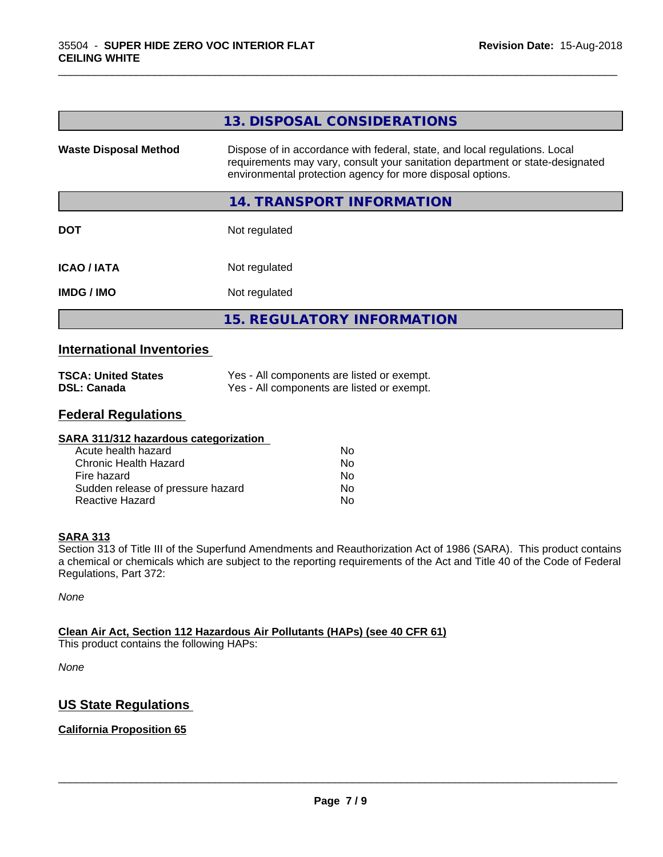|                              | 13. DISPOSAL CONSIDERATIONS                                                                                                                                                                                               |
|------------------------------|---------------------------------------------------------------------------------------------------------------------------------------------------------------------------------------------------------------------------|
| <b>Waste Disposal Method</b> | Dispose of in accordance with federal, state, and local regulations. Local<br>requirements may vary, consult your sanitation department or state-designated<br>environmental protection agency for more disposal options. |
|                              | 14. TRANSPORT INFORMATION                                                                                                                                                                                                 |
| <b>DOT</b>                   | Not regulated                                                                                                                                                                                                             |
| <b>ICAO/IATA</b>             | Not regulated                                                                                                                                                                                                             |
| <b>IMDG / IMO</b>            | Not regulated                                                                                                                                                                                                             |
|                              | <b>15. REGULATORY INFORMATION</b>                                                                                                                                                                                         |

\_\_\_\_\_\_\_\_\_\_\_\_\_\_\_\_\_\_\_\_\_\_\_\_\_\_\_\_\_\_\_\_\_\_\_\_\_\_\_\_\_\_\_\_\_\_\_\_\_\_\_\_\_\_\_\_\_\_\_\_\_\_\_\_\_\_\_\_\_\_\_\_\_\_\_\_\_\_\_\_\_\_\_\_\_\_\_\_\_\_\_\_\_

#### **International Inventories**

| <b>TSCA: United States</b> | Yes - All components are listed or exempt. |
|----------------------------|--------------------------------------------|
| <b>DSL: Canada</b>         | Yes - All components are listed or exempt. |

#### **Federal Regulations**

| SARA 311/312 hazardous categorization |    |  |
|---------------------------------------|----|--|
| Acute health hazard                   | Nο |  |
| Chronic Health Hazard                 | No |  |
| Fire hazard                           | No |  |
| Sudden release of pressure hazard     | No |  |
| Reactive Hazard                       | No |  |

#### **SARA 313**

Section 313 of Title III of the Superfund Amendments and Reauthorization Act of 1986 (SARA). This product contains a chemical or chemicals which are subject to the reporting requirements of the Act and Title 40 of the Code of Federal Regulations, Part 372:

*None*

#### **Clean Air Act,Section 112 Hazardous Air Pollutants (HAPs) (see 40 CFR 61)**

This product contains the following HAPs:

*None*

#### **US State Regulations**

#### **California Proposition 65**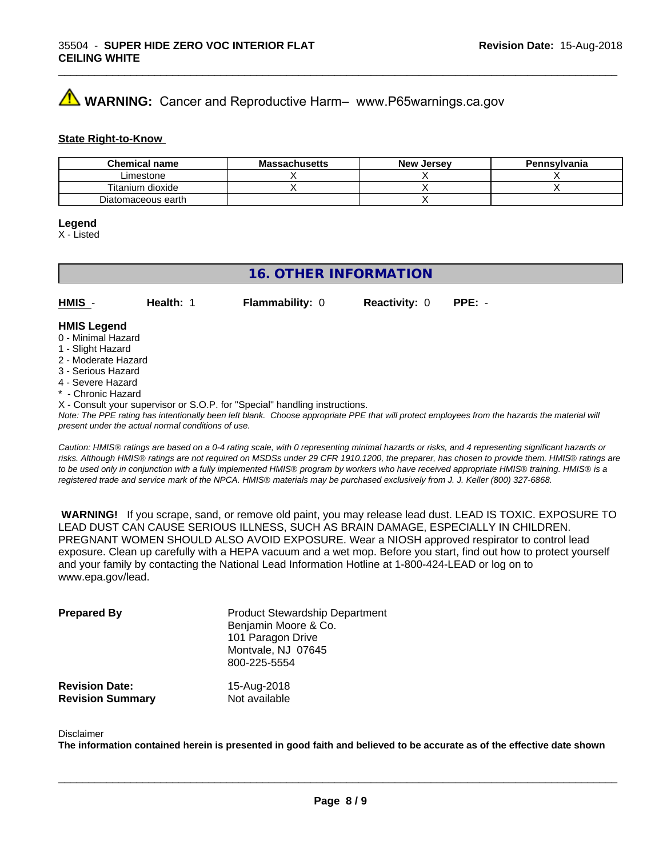## **WARNING:** Cancer and Reproductive Harm– www.P65warnings.ca.gov

#### **State Right-to-Know**

| <b>Chemical name</b> | <b>Massachusetts</b> | <b>New Jersey</b> | Pennsylvania |
|----------------------|----------------------|-------------------|--------------|
| Limestone            |                      |                   |              |
| Titanium dioxide     |                      |                   |              |
| Diatomaceous earth   |                      |                   |              |

#### **Legend**

X - Listed

#### **16. OTHER INFORMATION**

**HMIS** - **Health:** 1 **Flammability:** 0 **Reactivity:** 0 **PPE:** -

#### **HMIS Legend**

- 0 Minimal Hazard
- 1 Slight Hazard
- 2 Moderate Hazard
- 3 Serious Hazard
- 4 Severe Hazard
- **Chronic Hazard**
- X Consult your supervisor or S.O.P. for "Special" handling instructions.

*Note: The PPE rating has intentionally been left blank. Choose appropriate PPE that will protect employees from the hazards the material will present under the actual normal conditions of use.*

*Caution: HMISÒ ratings are based on a 0-4 rating scale, with 0 representing minimal hazards or risks, and 4 representing significant hazards or risks. Although HMISÒ ratings are not required on MSDSs under 29 CFR 1910.1200, the preparer, has chosen to provide them. HMISÒ ratings are to be used only in conjunction with a fully implemented HMISÒ program by workers who have received appropriate HMISÒ training. HMISÒ is a registered trade and service mark of the NPCA. HMISÒ materials may be purchased exclusively from J. J. Keller (800) 327-6868.*

 **WARNING!** If you scrape, sand, or remove old paint, you may release lead dust. LEAD IS TOXIC. EXPOSURE TO LEAD DUST CAN CAUSE SERIOUS ILLNESS, SUCH AS BRAIN DAMAGE, ESPECIALLY IN CHILDREN. PREGNANT WOMEN SHOULD ALSO AVOID EXPOSURE.Wear a NIOSH approved respirator to control lead exposure. Clean up carefully with a HEPA vacuum and a wet mop. Before you start, find out how to protect yourself and your family by contacting the National Lead Information Hotline at 1-800-424-LEAD or log on to www.epa.gov/lead.

| <b>Prepared By</b>                               | <b>Product Stewardship Department</b><br>Benjamin Moore & Co.<br>101 Paragon Drive<br>Montvale, NJ 07645<br>800-225-5554 |  |
|--------------------------------------------------|--------------------------------------------------------------------------------------------------------------------------|--|
| <b>Revision Date:</b><br><b>Revision Summary</b> | 15-Aug-2018<br>Not available                                                                                             |  |

#### Disclaimer

The information contained herein is presented in good faith and believed to be accurate as of the effective date shown